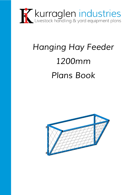

## *Hanging Hay Feeder 1200mm Plans Book*

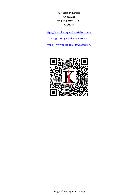Kurraglen Industries PO Box 215 Gulgong, NSW, 2852 Australia

[https://www.kurraglenindustries.com.au](https://www.kurraglenindustries.com.au/)

[sales@kurraglenindustries.com.au](mailto:sales@kurraglenindustries.com.au)

<https://www.facebook.com/kurraglen/>

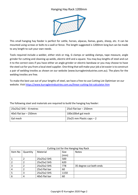## Hanging Hay Rack 1200mm



This small hanging hay feeder is perfect for cattle, horses, alpacas, llamas, goats, sheep, etc. It can be mounted using screws or bolts to a wall or fence. The length suggested is 1200mm long but can be made to any length to suit your own needs.

Tools required include a welder, either stick or mig, G clamps or welding clamps, tape measure, angle grinder for cutting and cleaning up welds, electric drill and a square. You may buy lengths of steel and cut it to the correct sizes if you have either an angle grinder or electric bandsaw or you may choose to have the steel cut for you from a local steel supplier. One thing that will make your job a lot easier is to construct a pair of welding trestles as shown on our website (www.kurraglenindustries.com.au). The plans for the welding trestles are free.

To make the best use out of your lengths of steel, we have a free-to-use Cutting List Optimiser on our website. Visit<https://www.kurraglenindustries.com.au/linear-cutting-list-calculator.htm>

The following steel and materials are required to build the hanging hay feeder:

| l 25x25x2 SHS – 8 metres | $25x3$ flat bar – 250mm      |
|--------------------------|------------------------------|
| $40x5$ flat bar – 250mm  | 100x100x4 gal mesh           |
| Gal mesh                 | $25x25$ mm Plastic caps $-2$ |

| Cutting List for the Hanging Hay Rack |          |               |      |                         |  |
|---------------------------------------|----------|---------------|------|-------------------------|--|
| Item No                               | Quantity | Material      | Size | <b>Notes</b>            |  |
|                                       |          |               | (mm) |                         |  |
|                                       |          | 25x25x2 SHS   | 500  |                         |  |
| 2                                     | 2        | 25x25x2 SHS   | 620  |                         |  |
| 3                                     |          | 25x25x2 SHS   | 778  | 35 degree cut both ends |  |
| 4                                     |          | 25x3 flat bar | 60   |                         |  |
| 5                                     | 3        | 25x25x2 SHS   | 1150 |                         |  |
| 6                                     | 4        | 40x5 flat bar | 60   |                         |  |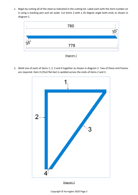1. Begin by cutting all of the steel as indicated in the cutting list. Label each with the item number on it using a marking pen and set aside. Cut items 3 with a 35 degree angle both ends as shown in diagram 1.



2. Weld one of each of items 1, 2, 3 and 4 together as shown in diagram 2. Two of these end frames are required. Item 4 (25x3 flat bar) is welded across the ends of items 2 and 3.



Diagram 2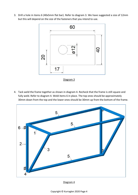3. Drill a hole in items 6 (40x5mm flat bar). Refer to diagram 3. We have suggested a size of 12mm but this will depend on the size of the fasteners that you intend to use.



Diagram 3

4. Tack weld the frame together as shown in diagram 4. Recheck that the frame is still square and fully weld. Refer to diagram 4. Weld items 6 in place. The top ones should be approximately 30mm down from the top and the lower ones should be 30mm up from the bottom of the frame.



Diagram 4